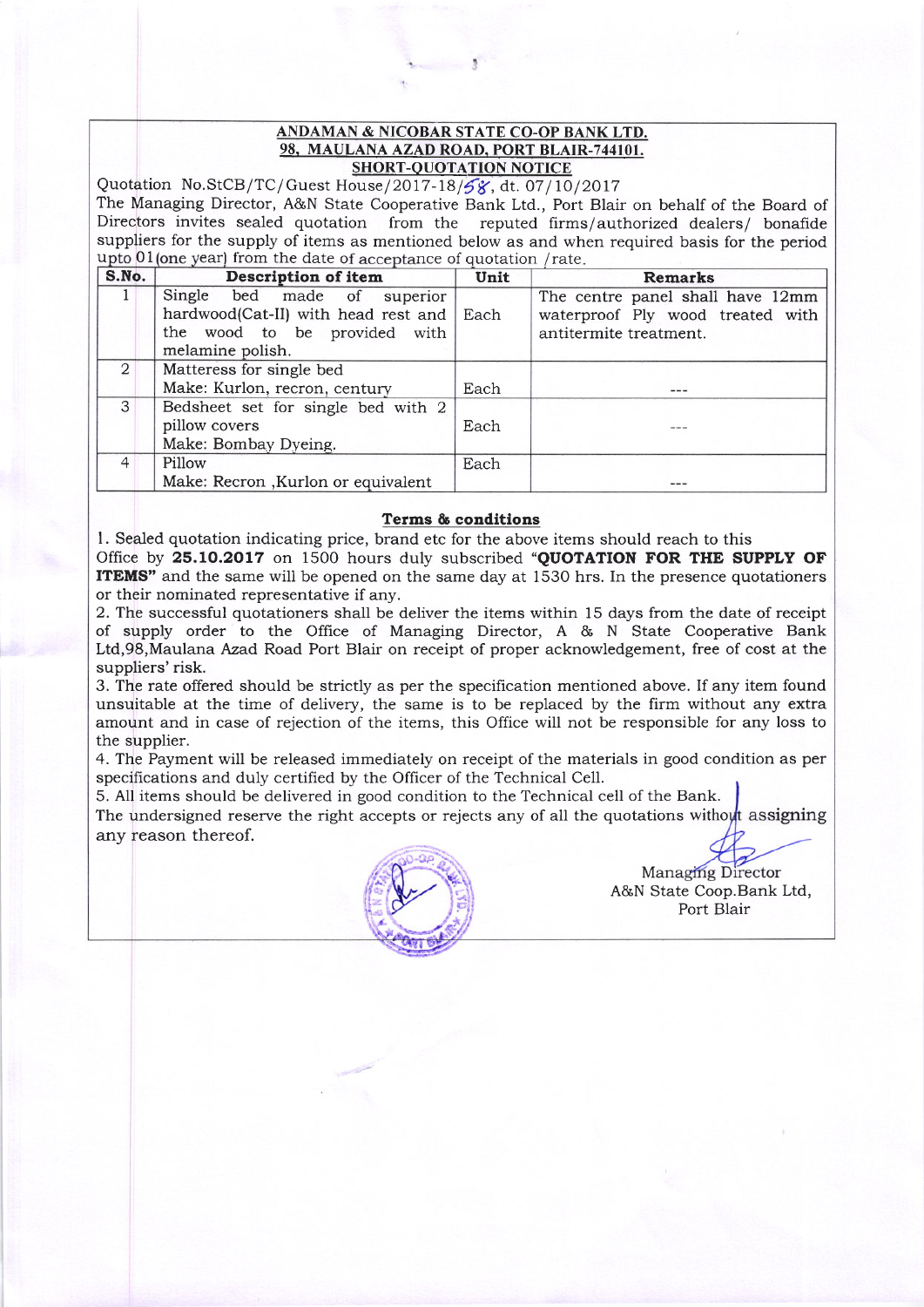## ANDAMAN & NICOBAR STATE CO-OP BANK LTD. 98, MAULANA AZAD ROAD, PORT BLAIR-744101. SHORT-OUOTATION NOTICE

Quotation No.StCB/TC/Guest House/2017-18/58, dt. 07/10/2017 The Managing Director, A&N State Cooperative Bank Ltd., Port Blair on behalf of the Board of Directors invites sealed quotation from the reputed firms/authorized dealers/ bonafide suppliers for the supply of items as mentioned below as and when required basis for the period upto 01 (one year) from the date of acceptance of quotation / rate

| <b>Description of item</b>         | Unit | <b>Remarks</b>                           |
|------------------------------------|------|------------------------------------------|
| Single bed made of superior        |      | The centre panel shall have 12mm         |
|                                    |      | waterproof Ply wood treated with         |
| the wood to be provided with       |      | antitermite treatment.                   |
| melamine polish.                   |      |                                          |
| Matteress for single bed           |      |                                          |
| Make: Kurlon, recron, century      | Each | ---                                      |
| Bedsheet set for single bed with 2 |      |                                          |
| pillow covers                      | Each |                                          |
| Make: Bombay Dyeing.               |      |                                          |
| Pillow                             | Each |                                          |
| Make: Recron, Kurlon or equivalent |      |                                          |
|                                    |      | hardwood(Cat-II) with head rest and Each |

## Terms & conditions

l. Sealed quotation indicating price, brand etc for the above items should reach to this Office by 25.10.2017 on 1500 hours duly subscribed "QUOTATION FOR THE SUPPLY OF **ITEMS**" and the same will be opened on the same day at 1530 hrs. In the presence quotationers or their nominated representative if any.

2. Thc successful quotationers shall be deliver the items within 15 days from the date of receipt of supply order to the Offrce of Managing Director, A & N State Cooperative Bank Ltd,98,Maulana Azad Road Port Blair on receipt of proper acknowledgement, free of cost at the suppliers' risk.

3. The rate offered should be strictly as per the specification mentioned above. If any item found unsuitable at the time of delivery, the same is to be replaced by the firm without any extra amount and in case of rejection of the items, this Office will not be responsible for any loss to the supplier.

4. The Payment will be released immediately on receipt of the materials in good condition as per specifications and duly certified by the Officer of the Technical Cell.

5. All items should be delivered in good condition to the Technical cell of the Bank.

The undersigned reserve the right accepts or rejects any of all the quotations without assigning any reason thereof.



A&N State Coop.Bank Ltd, Port Blair **Managing Director**